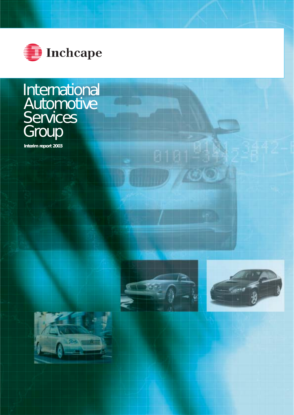

# International **Automotive Services** Group

**Interim report 2003**



 $\circlearrowright$ 



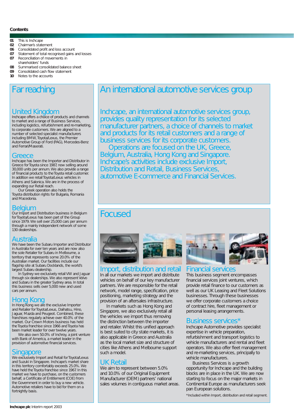#### **Contents**

#### **01** This is Inchcape

- **02** Chairman's statement
- **06** Consolidated profit and loss account
- **07** Statement of total recognised gains and losses<br>**07** Reconciliation of movements in
- Reconciliation of movements in shareholders' funds
- **08** Summarised consolidated balance sheet<br>**09** Consolidated cash flow statement
- **09** Consolidated cash flow statement
- **10** Notes to the accounts

# Far reaching

# United Kingdom<br>Inchcape offers a choice of products and channels

to market and a range of Business Services, including logistics, refurbishment and re-marketing, to corporate customers. We are aligned to a number of selected specialist manufacturers including BMW, Toyota/Lexus, the Premier Automotive Group of Ford (PAG), Mercedes-Benz and Ferrari/Maserati.

### **Greece**

Inchcape has been the Importer and Distributor in Greece for Toyota since 1987, now selling around 30,000 units per annum. We also provide a range of financial products to the Toyota retail customer. In addition we retail Toyota/Lexus vehicles in Athens and Salonica. We are in the process of expanding our Retail reach.

Our Greek operation also holds the Toyota distribution rights for Bulgaria, Romania and Macedonia.

**Belgium**<br>Our Import and Distribution business in Belgium for Toyota/Lexus has been part of the Group since 1979. We sell over 25,000 cars per annum through a mainly independent network of some 130 dealerships.

## Australia

We have been the Subaru Importer and Distributor in Australia for over ten years and are now also the sole Retailer for Subaru in Melbourne, a territory that represents some 20.0% of the Australian market. Our facilities include our flagship site at Subaru Docklands, the world's largest Subaru dealership.

In Sydney we exclusively retail VW and Jaguar through six dealerships. We also represent Volvo and Subaru in the greater Sydney area. In total this business sells over 5,000 new and used cars per annum.

## Hong Kong

In Hong Kong we are the exclusive Importer and Retailer for Toyota/Lexus, Daihatsu, Hino, Jaguar, Mazda and Peugeot. Combined, these franchises regularly achieve over 40.0% of the market. Our Crown Motors business has held the Toyota franchise since 1966 and Toyota has been market leader for over twelve years.

We also own 50.0% of Inchroy, a joint venture with Bank of America, a market leader in the provision of automotive financial services.

## Singapore

We exclusively Import and Retail for Toyota/Lexus and Suzuki in Singapore. Inchcape's market share in this territory comfortably exceeds 25.0%. We have held the Toyota franchise since 1967. In this market we have to purchase, on the customers behalf, a Certificate of Entitlement (COE) from the Government in order to buy a new vehicle. Automotive retailers have to bid for them on a fortnightly basis.

# An international automotive services group

Inchcape, an international automotive services group, provides quality representation for its selected manufacturer partners, a choice of channels to market and products for its retail customers and a range of business services for its corporate customers.

Operations are focused on the UK, Greece, Belgium, Australia, Hong Kong and Singapore. Inchcape's activities include exclusive Import, Distribution and Retail, Business Services, automotive E-commerce and Financial Services.

# Focused





Import, distribution and retail In all our markets we import and distribute vehicles on behalf of our key manufacturer partners. We are responsible for the retail network, model range, specification, price positioning, marketing strategy and the provision of an aftersales infrastructure.

In markets such as Hong Kong and Singapore, we also exclusively retail all the vehicles we import thus removing the distinction between the importer and retailer. Whilst this unified approach is best suited to city state markets, it is also applicable in Greece and Australia as the local market size and structure of cities like Athens and Melbourne support such a model.

# UK Retail

We aim to represent between 5.0% and 10.0% of our Original Equipment Manufacturer (OEM) partners' national sales volumes in contiguous market areas.



#### Financial services

This business segment encompasses financial services joint ventures, which provide retail finance to our customers as well as our UK Leasing and Fleet Solutions businesses. Through these businesses we offer corporate customers a choice of contract hire, fleet management or personal leasing arrangements.

## Business services\*

Inchcape Automotive provides specialist expertise in vehicle preparation, refurbishment and transport logistics to vehicle manufacturers and rental and fleet operators. We also offer fleet management and re-marketing services, principally to vehicle manufacturers.

Business Services is a growth opportunity for Inchcape and the building blocks are in place in the UK. We are now starting to focus on the major markets in Continental Europe as manufacturers seek pan European solutions.

\*Included within Import, distribution and retail segment.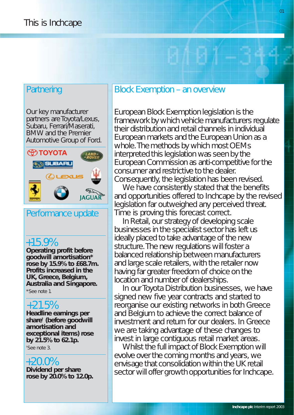# **Partnering**

Our key manufacturer partners are Toyota/Lexus, Subaru, Ferrari/Maserati, BMW and the Premier Automotive Group of Ford.



# Performance update

# +15.9%

**Operating profit before goodwill amortisation\* rose by 15.9% to £68.7m. Profits increased in the UK, Greece, Belgium, Australia and Singapore.**

\*See note 1.

# +21.5%

**Headline earnings per share† (before goodwill amortisation and exceptional items) rose by 21.5% to 62.1p.**

† See note 3.

# +20.0%

**Dividend per share rose by 20.0% to 12.0p.**

# Block Exemption – an overview

European Block Exemption legislation is the framework by which vehicle manufacturers regulate their distribution and retail channels in individual European markets and the European Union as a whole. The methods by which most OEMs interpreted this legislation was seen by the European Commission as anti-competitive for the consumer and restrictive to the dealer. Consequently, the legislation has been revised.

We have consistently stated that the benefits and opportunities offered to Inchcape by the revised legislation far outweighed any perceived threat. Time is proving this forecast correct.

In Retail, our strategy of developing scale businesses in the specialist sector has left us ideally placed to take advantage of the new structure. The new regulations will foster a balanced relationship between manufacturers and large scale retailers, with the retailer now having far greater freedom of choice on the location and number of dealerships.

In our Toyota Distribution businesses, we have signed new five year contracts and started to reorganise our existing networks in both Greece and Belgium to achieve the correct balance of investment and return for our dealers. In Greece we are taking advantage of these changes to invest in large contiguous retail market areas.

Whilst the full impact of Block Exemption will evolve over the coming months and years, we envisage that consolidation within the UK retail sector will offer growth opportunities for Inchcape.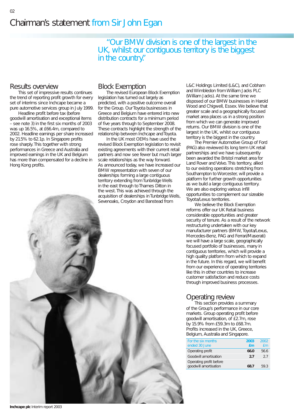"Our BMW division is one of the largest in the UK, whilst our contiguous territory is the biggest in the country."

## Results overview

This set of impressive results continues the trend of reporting profit growth for every set of interims since Inchcape became a pure automotive services group in July 1999.

Headline profit before tax (before goodwill amortisation and exceptional items – see note 3) in the first six months of 2003 was up 16.5%, at £66.4m, compared to 2002. Headline earnings per share increased by 21.5% to 62.1p. In Singapore profits rose sharply. This together with strong performances in Greece and Australia and improved earnings in the UK and Belgium has more than compensated for a decline in Hong Kong profits.

# Block Exemption

The revised European Block Exemption legislation has turned out largely as predicted, with a positive outcome overall for the Group. Our Toyota businesses in Greece and Belgium have entered into new distribution contracts for a minimum period of five years through to September 2008. These contracts highlight the strength of the relationship between Inchcape and Toyota.

In the UK most OEMs have used the revised Block Exemption legislation to revisit existing agreements with their current retail partners and now see fewer but much larger scale relationships as the way forward. As announced today, we have increased our BMW representation with seven of our dealerships forming a large contiguous territory extending from Tunbridge Wells in the east through to Thames Ditton in the west. This was achieved through the acquisition of dealerships in Tunbridge Wells, Sevenoaks, Croydon and Banstead from

L&C Holdings Limited (L&C), and Cobham and Wimbledon from William Jacks PLC (William Jacks). At the same time we disposed of our BMW businesses in Harold Wood and Chigwell, Essex. We believe that greater scale and a geographically focused market area places us in a strong position from which we can generate improved returns. Our BMW division is one of the largest in the UK, whilst our contiguous territory is the biggest in the country.

The Premier Automotive Group of Ford (PAG) also reviewed its long term UK retail partnerships and we have subsequently been awarded the Bristol market area for Land Rover and Volvo. This territory, allied to our existing operations stretching from Southampton to Worcester, will provide a platform for further growth opportunities as we build a large contiguous territory. We are also exploring various infill opportunities to complement our sizeable Toyota/Lexus territories.

We believe the Block Exemption reforms offer our UK Retail business considerable opportunities and greater security of tenure. As a result of the network restructuring undertaken with our key manufacturer partners (BMW, Toyota/Lexus, Mercedes-Benz, PAG and Ferrari/Maserati) we will have a large scale, geographically focused portfolio of businesses, many in contiguous territories, which will provide a high quality platform from which to expand in the future. In this regard, we will benefit from our experience of operating territories like this in other countries to increase customer satisfaction and reduce costs through improved business processes.

# Operating review

This section provides a summary of the Group's performance in our core markets. Group operating profit before goodwill amortisation, of £2.7m, rose by 15.9% from £59.3m to £68.7m. Profits increased in the UK, Greece, Belgium, Australia and Singapore.

| For the six months<br>ended 30 June              | 2003<br>$fm$ | 2002<br>fm |
|--------------------------------------------------|--------------|------------|
| Operating profit                                 | 66.0         | 56.6       |
| Goodwill amortisation                            | 27           | 27         |
| Operating profit before<br>goodwill amortisation | 687          | 593        |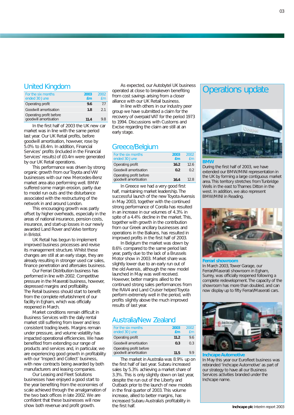## United Kingdom

| For the six months<br>ended 30 June              | 2003<br>fm | 2002<br>fm |
|--------------------------------------------------|------------|------------|
| Operating profit                                 | 9.6        | 77         |
| Goodwill amortisation                            | 1.8        | 21         |
| Operating profit before<br>goodwill amortisation | 11.4       | 9 X        |

In the first half of 2003 the UK new car market was in line with the same period last year. Our UK Retail profits, before goodwill amortisation, however, rose by 5.0% to £8.4m. In addition, Financial Services' profits (included in the Financial Services' results) of £0.4m were generated by our UK Retail operations.

This performance was driven by strong organic growth from our Toyota and VW businesses with our new Mercedes-Benz market area also performing well. BMW suffered some margin erosion, partly due to model run outs and the disturbance associated with the restructuring of the network in and around London.

This encouraging growth was partly offset by higher overheads, especially in the areas of national insurance, pension costs, insurance, and start-up losses in our newly awarded Land Rover and Volvo territory in Bristol.

UK Retail has begun to implement improved business processes and revise its management structure. Whilst these changes are still at an early stage, they are already resulting in stronger used car sales, finance penetration and aftersales business.

Our Ferrari Distribution business has performed in line with 2002. Competitive pressure in the Maserati business, however, depressed margins and profitability. The Retail business should start to benefit from the complete refurbishment of our facility in Egham, which was officially reopened in March.

Market conditions remain difficult in Business Services with the daily rental market still suffering from lower and less consistent trading levels. Margins remain under pressure, and volume volatility has impacted operational efficiencies. We have benefited from extending our range of products and services and, in particular, we are experiencing good growth in profitability with our 'Inspect and Collect' business, with new contracts being awarded by both manufacturers and leasing companies.

Our Leasing and Fleet Solutions businesses have enjoyed a good start to the year benefiting from the economies of scale achieved through the amalgamation of the two back offices in late 2002. We are confident that these businesses will now show both revenue and profit growth.

As expected, our Autobytel UK business operated at close to breakeven benefiting from cost savings arising from a closer alliance with our UK Retail business.

In line with others in our industry peer group we have submitted a claim for the recovery of overpaid VAT for the period 1973 to 1994. Discussions with Customs and Excise regarding the claim are still at an early stage.

# Greece/Belgium

| For the six months<br>ended 30 June              | 2003<br>fm     | 2002<br>fm |
|--------------------------------------------------|----------------|------------|
| Operating profit                                 | 16.2           | 126        |
| Goodwill amortisation                            | 0 <sup>2</sup> | 02         |
| Operating profit before<br>goodwill amortisation | 164            | 12 R       |

In Greece we had a very good first half, maintaining market leadership. The successful launch of the new Toyota Avensis in May 2003, together with the continued strong performance of Corolla has resulted in an increase in our volumes of 4.3% in spite of a 4.4% decline in the market. This, together with growth in the contribution from our Greek ancillary businesses and operations in the Balkans, has resulted in improved profits in the first half of 2003.

In Belgium the market was down by 8.6% compared to the same period last year, partly due to the lack of a Brussels Motor show in 2003. Market share was slightly lower due to an early run out of the old Avensis, although the new model launched in May was well received. However, better margins allied to the continued strong sales performances from the RAV4 and Land Cruiser helped Toyota perform extremely well in the period, with profits slightly above the much improved results of last year.

# Australia/New Zealand

| For the six months<br>ended 30 June              | 2003<br>$fm$ | 2002<br>fm |
|--------------------------------------------------|--------------|------------|
| Operating profit                                 | 11.2         | 96         |
| Goodwill amortisation                            | 0.3          | 03         |
| Operating profit before<br>goodwill amortisation | 11.5         |            |

The market in Australia was 8.9% up on the first half of last year. Subaru increased sales by 5.3% achieving a market share of 3.3%. This is only slightly down on last year, despite the run out of the Liberty and Outback prior to the launch of new models in the final quarter of 2003. This volume increase, allied to better margins, has increased Subaru Australia's profitability in the first half.

# Operations update



#### **BMW**

During the first half of 2003, we have extended our BMW/MINI representation in the UK by forming a large contiguous market area. This territory stretches from Tunbridge Wells in the east to Thames Ditton in the west. In addition, we also represent BMW/MINI in Reading.



#### **Ferrari showroom**

In March 2003, Tower Garage, our Ferrari/Maserati showroom in Egham, Surrey, was officially reopened following a complete redevelopment. The capacity of the showroom has more than doubled, and can now display up to fifty Ferrari/Maserati cars.



#### **Inchcape Automotive**

In May this year our Eurofleet business was rebranded 'Inchcape Automotive' as part of our strategy to have all our Business Services activities branded under the Inchcape name.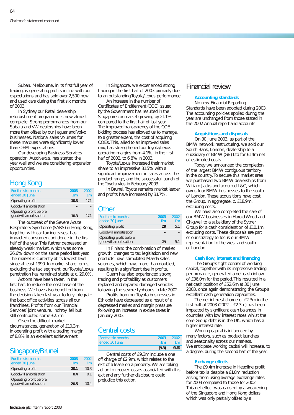Subaru Melbourne, in its first full year of trading, is generating profits in line with our expectations and has sold over 2,500 new and used cars during the first six months of 2003.

In Sydney our Retail dealership refurbishment programme is now almost complete. Strong performances from our Subaru and VW dealerships have been more than offset by our Jaguar and Volvo businesses. National sales volumes for these marques were significantly lower than OEM expectations.

Our developing Business Services operation, AutoNexus, has started the year well and we are considering expansion opportunities.

# Hong Kong

| For the six months<br>ended 30 June              | 2003<br>fm | 2002<br>f <sub>m</sub> |
|--------------------------------------------------|------------|------------------------|
| Operating profit                                 | 10.3       | 171                    |
| Goodwill amortisation                            |            |                        |
| Operating profit before<br>goodwill amortisation | 10.3       | 171                    |

The outbreak of the Severe Acute Respiratory Syndrome (SARS) in Hong Kong, together with car tax increases, has impacted consumer confidence in the first half of the year. This further depressed an already weak market, which was some 26.6% down on the same period last year. The market is currently at its lowest level since at least 1990. In market share terms, excluding the taxi segment, our Toyota/Lexus penetration has remained stable at c. 29.0%.

Actions have been taken, in the first half, to reduce the cost base of the business. We have also benefited from the decision taken last year to fully integrate the back office activities across all our franchises. Profits from our Financial Services' joint venture, Inchroy, fell but still contributed some £2.7m.

Given the difficult market circumstances, generation of £10.3m in operating profit with a trading margin of 8.8% is an excellent achievement.

## Singapore/Brunei

| For the six months<br>ended 30 June              | 2003<br>fm | 2002<br>fm      |
|--------------------------------------------------|------------|-----------------|
| Operating profit                                 | 20.1       | 10.3            |
| Goodwill amortisation                            | 0.4        | 0 <sub>1</sub>  |
| Operating profit before<br>goodwill amortisation | 20.5       | 10 <sub>4</sub> |

In Singapore, we experienced strong trading in the first half of 2003 primarily due to an outstanding Toyota/Lexus performance.

An increase in the number of Certificates of Entitlement (COE) issued by the Government has resulted in the Singapore car market growing by 21.1% compared to the first half of last year. The improved transparency of the COE bidding process has allowed us to manage, to a greater extent, the cost of acquiring COEs. This, allied to an improved sales mix, has strengthened our Toyota/Lexus operating margins from 4.1%, in the first half of 2002, to 6.8% in 2003.

Toyota/Lexus increased their market share to an impressive 31.5% with a significant improvement in sales across the product range, and the successful launch of the Toyota Vios in February 2003.

In Brunei, Toyota remains market leader and profits have increased by 31.7%.

#### **Other**

| For the six months<br>ended 30 June              | 2003<br>fm | 2002<br>fm |
|--------------------------------------------------|------------|------------|
| Operating profit                                 | 7.9        | 5.1        |
| Goodwill amortisation                            |            |            |
| Operating profit before<br>goodwill amortisation | 79         | 51         |

In Finland the combination of market growth, changes to tax legislation and new products have stimulated Mazda sales volumes, which have more than doubled, resulting in a significant rise in profits.

Guam has also experienced strong trading and profitability as customers replaced and repaired damaged vehicles following the severe typhoons in late 2002.

Profits from our Toyota businesses in Ethiopia have decreased as a result of a depressed market and margin pressure following an increase in excise taxes in January 2003.

## Central costs

| For the six months | 2003  | -2002 |
|--------------------|-------|-------|
| ended 30 June      | fm    | fm    |
|                    | (9.3) | (5.8) |

Central costs of £9.3m include a one off charge of £2.9m, which relates to the exit of a lease on a property. We are taking action to recover losses associated with this exit and any further disclosure could prejudice this action.

## Financial review

#### **Accounting standards**

No new Financial Reporting Standards have been adopted during 2003. The accounting policies applied during the year are unchanged from those stated in the 2002 Annual report and accounts.

#### **Acquisitions and disposals**

On 30 June 2003, as part of the BMW network restructuring, we sold our South Bank, London, dealership to a subsidiary of BMW (GB) Ltd for £1.4m net of estimated costs.

Today we announced the completion of the largest BMW contiguous territory in the country. To secure this market area we purchased two BMW dealerships from William Jacks and acquired L&C, which owns four BMW businesses to the south of London. These acquisitions have cost the Group, in aggregate, c. £18.9m, excluding costs.

We have also completed the sale of our BMW businesses in Harold Wood and Chigwell to a subsidiary of the Sytner Group for a cash consideration of £10.1m, excluding costs. These disposals are part of our strategy to focus our BMW representation to the west and south of London.

#### **Cash flow, interest and financing**

The Group's tight control of working capital, together with its impressive trading performance, generated a net cash inflow of £36.0m for the period. This resulted in a net cash position of £52.6m at 30 June 2003, once again demonstrating the Group's excellent cash generation capabilities.

The net interest charge of £2.3m in the first half of 2003 (2002 – £2.3m) has been impacted by significant cash balances in countries with low interest rates whilst the core Group debt is in the UK, which has a higher interest rate.

Working capital is influenced by many factors, such as product launches and seasonality across our markets. We anticipate working capital will increase, to a degree, during the second half of the year.

#### **Exchange effects**

The £9.4m increase in Headline profit before tax is despite a £1.0m reduction arising from using average exchange rates for 2003 compared to those for 2002. This net effect was caused by a weakening of the Singapore and Hong Kong dollars, which was only partially offset by a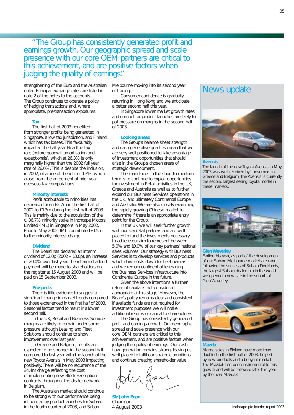# "The Group has consistently generated profit and earnings growth. Our geographic spread and scale presence with our core OEM partners are critical to this achievement, and are positive factors when judging the quality of earnings."

strengthening of the Euro and the Australian dollar. Principal exchange rates are listed in note 2 of the notes to the accounts. The Group continues to operate a policy of hedging transactions and, where appropriate, pre-transaction exposures.

#### **Tax**

The first half of 2003 benefited from stronger profits being generated in Singapore, a low tax jurisdiction, and Finland, which has tax losses. This favourably impacted the half year Headline tax rate (before goodwill amortisation and exceptionals), which at 26.3% is only marginally higher than the 2002 full year rate of 26.0%. This is despite the inclusion, in 2002, of a one off benefit of 1.3%, which arose from the agreement of prior year overseas tax computations.

#### **Minority interests**

Profit attributable to minorities has decreased from £2.7m in the first half of 2002 to £1.3m during the first half of 2003. This is mainly due to the acquisition of the c. 36.7% minority stake in Inchcape Motors Limited (IML) in Singapore in May 2002. Prior to May 2002, IML contributed £1.5m to the minority interest charge.

#### **Dividend**

The Board has declared an interim dividend of 12.0p (2002 – 10.0p), an increase of 20.0% over last year. The interim dividend payment will be made to shareholders on the register at 15 August 2003 and will be paid on 15 September 2003.

#### **Prospects**

There is little evidence to suggest a significant change in market trends compared to those experienced in the first half of 2003. Seasonal factors tend to result in a lower second half.

In the UK, Retail and Business Services margins are likely to remain under some pressure although Leasing and Fleet Solutions should continue to show improvement over last year.

In Greece and Belgium, results are expected to be stronger in the second half compared to last year with the launch of the new Toyota Avensis in May 2003 impacting positively. There will be no recurrence of the £4.4m charge reflecting the cost of implementing new Block Exemption contracts throughout the dealer network in Belgium.

The Australian market should continue to be strong with our performance being influenced by product launches for Subaru in the fourth quarter of 2003, and Subaru

Melbourne moving into its second year of trading.

Consumer confidence is gradually returning in Hong Kong and we anticipate a better second half this year.

In Singapore lower market growth rates and competitor product launches are likely to put pressure on margins in the second half of 2003.

#### **Looking ahead**

The Group's balance sheet strength and cash generative qualities mean that we are very well positioned to take advantage of investment opportunities that should arise in the Group's chosen areas of strategic development.

The main focus in the short to medium term is to continue to exploit opportunities for investment in Retail activities in the UK, Greece and Australia as well as to further expand our Business Services operations in the UK, and ultimately Continental Europe and Australia. We are also closely examining the rapidly growing Chinese market to determine if there is an appropriate entry point for the Group.

In the UK we will seek further growth with our key retail partners and are well placed to fund the investments necessary to achieve our aim to represent between 5.0% and 10.0% of our key partners' national sales volumes. Our strategy with Business Services is to develop services and products, which drive costs down for fleet owners and we remain confident of leveraging the Business Services infrastructure into Continental Europe in the future.

Given the above intentions a further return of capital is not considered appropriate at this stage. However, the Board's policy remains clear and consistent; if available funds are not required for investment purposes we will make additional returns of capital to shareholders.

The Group has consistently generated profit and earnings growth. Our geographic spread and scale presence with our core OEM partners are critical to this achievement, and are positive factors when judging the quality of earnings. Our cash flow generation remains strong, leaving us well placed to fulfil our strategic ambitions and continue creating shareholder value.

. ler gan

**Sir John Egan**  Chairman

# News update



#### **Avensis**

The launch of the new Toyota Avensis in May 2003 was well received by consumers in Greece and Belgium. The Avensis is currently the second largest selling Toyota model in these markets.



#### **Glen Waverley**

Earlier this year, as part of the development of our Subaru Melbourne market area and following the success of Subaru Docklands, the largest Subaru dealership in the world, we opened a new site in the suburb of Glen Waverley.



#### **Mazda**

Mazda sales in Finland have more than doubled in the first half of 2003, helped by new products and a buoyant market. The Mazda6 has been instrumental to this growth and will be followed later this year by the new Mazda3.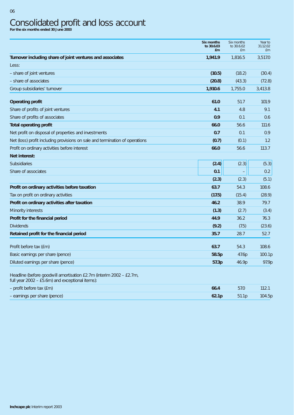# Consolidated profit and loss account **For the six months ended 30 June 2003**

|                                                                              | <b>Six months</b><br>to 30.6.03 | Six months<br>to 30.6.02 | Year to<br>31.12.02 |
|------------------------------------------------------------------------------|---------------------------------|--------------------------|---------------------|
|                                                                              | £m                              | £m                       | £m                  |
| Turnover including share of joint ventures and associates                    | 1,941.9                         | 1,816.5                  | 3,517.0             |
| Less:                                                                        |                                 |                          |                     |
| - share of joint ventures                                                    | (10.5)                          | (18.2)                   | (30.4)              |
| - share of associates                                                        | (20.8)                          | (43.3)                   | (72.8)              |
| Group subsidiaries' turnover                                                 | 1,910.6                         | 1,755.0                  | 3,413.8             |
| <b>Operating profit</b>                                                      | 61.0                            | 51.7                     | 101.9               |
| Share of profits of joint ventures                                           | 4.1                             | 4.8                      | 9.1                 |
| Share of profits of associates                                               | 0.9                             | 0.1                      | 0.6                 |
| <b>Total operating profit</b>                                                | 66.0                            | 56.6                     | 111.6               |
| Net profit on disposal of properties and investments                         | 0.7                             | 0.1                      | 0.9                 |
| Net (loss) profit including provisions on sale and termination of operations | (0.7)                           | (0.1)                    | 1.2                 |
| Profit on ordinary activities before interest                                | 66.0                            | 56.6                     | 113.7               |
| Net interest:                                                                |                                 |                          |                     |
| Subsidiaries                                                                 | (2.4)                           | (2.3)                    | (5.3)               |
| Share of associates                                                          | 0.1                             |                          | 0.2                 |
|                                                                              | (2.3)                           | (2.3)                    | (5.1)               |
| Profit on ordinary activities before taxation                                | 63.7                            | 54.3                     | 108.6               |
| Tax on profit on ordinary activities                                         | (17.5)                          | (15.4)                   | (28.9)              |
| Profit on ordinary activities after taxation                                 | 46.2                            | 38.9                     | 79.7                |
| Minority interests                                                           | (1.3)                           | (2.7)                    | (3.4)               |
| Profit for the financial period                                              | 44.9                            | 36.2                     | 76.3                |
| <b>Dividends</b>                                                             | (9.2)                           | (7.5)                    | (23.6)              |
| Retained profit for the financial period                                     | 35.7                            | 28.7                     | 52.7                |
| Profit before tax (£m)                                                       | 63.7                            | 54.3                     | 108.6               |
| Basic earnings per share (pence)                                             | 58.5p                           | 47.6p                    | 100.1p              |
| Diluted earnings per share (pence)                                           | 57.3p                           | 46.9p                    | 97.9p               |

Headline (before goodwill amortisation £2.7m (interim 2002 – £2.7m,

| full year 2002 – £5.6m) and exceptional items): |                   |                   |        |
|-------------------------------------------------|-------------------|-------------------|--------|
| - profit before tax (£m)                        | 66.4              | 57.0              |        |
| - earnings per share (pence)                    | 62.1 <sub>D</sub> | 51.1 <sub>D</sub> | 104.5p |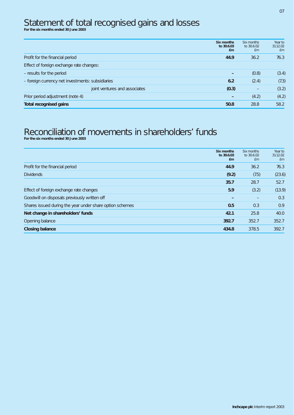# Statement of total recognised gains and losses<br>For the six months ended 30 June 2003

|                                                  | Six months<br>to 30.6.03<br><b>£m</b> | Six months<br>to 30.6.02<br>£m | Year to<br>31.12.02<br>£m |
|--------------------------------------------------|---------------------------------------|--------------------------------|---------------------------|
| Profit for the financial period                  | 44.9                                  | 36.2                           | 76.3                      |
| Effect of foreign exchange rate changes:         |                                       |                                |                           |
| - results for the period                         |                                       | (0.8)                          | (3.4)                     |
| - foreign currency net investments: subsidiaries | 6.2                                   | (2.4)                          | (7.3)                     |
| joint ventures and associates                    | (0.3)                                 | $\qquad \qquad -$              | (3.2)                     |
| Prior period adjustment (note 4)                 |                                       | (4.2)                          | (4.2)                     |
| <b>Total recognised gains</b>                    | 50.8                                  | 28.8                           | 58.2                      |

# Reconciliation of movements in shareholders' funds<br>For the six months ended 30 June 2003

|                                                          | Six months<br>to 30.6.03<br><b>£m</b> | Six months<br>to 30.6.02<br>£m | Year to<br>31.12.02<br>£m |
|----------------------------------------------------------|---------------------------------------|--------------------------------|---------------------------|
| Profit for the financial period                          | 44.9                                  | 36.2                           | 76.3                      |
| <b>Dividends</b>                                         | (9.2)                                 | (7.5)                          | (23.6)                    |
|                                                          | 35.7                                  | 28.7                           | 52.7                      |
| Effect of foreign exchange rate changes                  | 5.9                                   | (3.2)                          | (13.9)                    |
| Goodwill on disposals previously written off             |                                       |                                | 0.3                       |
| Shares issued during the year under share option schemes | 0.5                                   | 0.3                            | 0.9                       |
| Net change in shareholders' funds                        | 42.1                                  | 25.8                           | 40.0                      |
| Opening balance                                          | 392.7                                 | 352.7                          | 352.7                     |
| <b>Closing balance</b>                                   | 434.8                                 | 378.5                          | 392.7                     |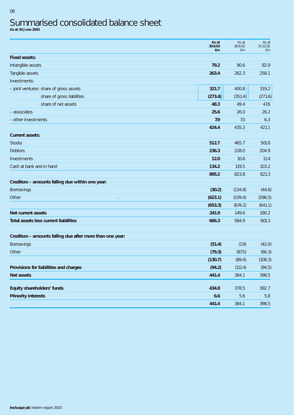# Summarised consolidated balance sheet **As at 30 June 2003**

| <b>Fixed assets:</b><br>79.2<br>90.6<br>Intangible assets<br>82.9<br>Tangible assets<br>263.4<br>262.3<br>258.1<br>Investments:<br>400.8<br>321.7<br>- joint ventures: share of gross assets<br>319.2<br>(351.4)<br>share of gross liabilities<br>(273.4)<br>share of net assets<br>49.4<br>47.6<br>48.3<br>26.2<br>25.6<br>26.0<br>- associates<br>- other investments<br>6.3<br>7.9<br>7.0<br>424.4<br>435.3<br>421.1<br><b>Current assets:</b><br><b>Stocks</b><br>512.7<br>465.7<br>501.8<br><b>Debtors</b><br>236.3<br>228.0<br>204.9<br>Investments<br>12.0<br>10.6<br>11.4<br>134.2<br>Cash at bank and in hand<br>119.5<br>103.2<br>895.2<br>823.8<br>821.3<br>Creditors - amounts falling due within one year:<br>(30.2)<br>(134.8)<br>Borrowings<br>(44.6)<br>(623.1)<br>Other<br>(539.4)<br>(596.5)<br>(653.3)<br>(674.2)<br>(641.1)<br>Net current assets<br>241.9<br>149.6<br>180.2<br><b>Total assets less current liabilities</b><br>666.3<br>584.9<br>601.3<br>Creditors - amounts falling due after more than one year:<br>(1.9)<br>(42.0)<br>Borrowings<br>(51.4)<br>(79.3)<br>(87.5)<br>(66.3)<br>Other<br>(108.3)<br>(130.7)<br>(89.4)<br>Provisions for liabilities and charges<br>(94.2)<br>(111.4)<br>(94.5)<br>441.4<br>384.1<br><b>Net assets</b><br>398.5<br>Equity shareholders' funds<br>434.8<br>378.5<br>392.7<br><b>Minority interests</b><br>6.6<br>5.8<br>5.6<br>441.4<br>384.1<br>398.5 | As at<br>30.6.03<br>£m | As at<br>30.6.02<br>£m | As at<br>31.12.02<br>£m |
|---------------------------------------------------------------------------------------------------------------------------------------------------------------------------------------------------------------------------------------------------------------------------------------------------------------------------------------------------------------------------------------------------------------------------------------------------------------------------------------------------------------------------------------------------------------------------------------------------------------------------------------------------------------------------------------------------------------------------------------------------------------------------------------------------------------------------------------------------------------------------------------------------------------------------------------------------------------------------------------------------------------------------------------------------------------------------------------------------------------------------------------------------------------------------------------------------------------------------------------------------------------------------------------------------------------------------------------------------------------------------------------------------------------------------|------------------------|------------------------|-------------------------|
|                                                                                                                                                                                                                                                                                                                                                                                                                                                                                                                                                                                                                                                                                                                                                                                                                                                                                                                                                                                                                                                                                                                                                                                                                                                                                                                                                                                                                           |                        |                        |                         |
|                                                                                                                                                                                                                                                                                                                                                                                                                                                                                                                                                                                                                                                                                                                                                                                                                                                                                                                                                                                                                                                                                                                                                                                                                                                                                                                                                                                                                           |                        |                        |                         |
|                                                                                                                                                                                                                                                                                                                                                                                                                                                                                                                                                                                                                                                                                                                                                                                                                                                                                                                                                                                                                                                                                                                                                                                                                                                                                                                                                                                                                           |                        |                        |                         |
|                                                                                                                                                                                                                                                                                                                                                                                                                                                                                                                                                                                                                                                                                                                                                                                                                                                                                                                                                                                                                                                                                                                                                                                                                                                                                                                                                                                                                           |                        |                        |                         |
|                                                                                                                                                                                                                                                                                                                                                                                                                                                                                                                                                                                                                                                                                                                                                                                                                                                                                                                                                                                                                                                                                                                                                                                                                                                                                                                                                                                                                           |                        |                        |                         |
|                                                                                                                                                                                                                                                                                                                                                                                                                                                                                                                                                                                                                                                                                                                                                                                                                                                                                                                                                                                                                                                                                                                                                                                                                                                                                                                                                                                                                           |                        |                        | (271.6)                 |
|                                                                                                                                                                                                                                                                                                                                                                                                                                                                                                                                                                                                                                                                                                                                                                                                                                                                                                                                                                                                                                                                                                                                                                                                                                                                                                                                                                                                                           |                        |                        |                         |
|                                                                                                                                                                                                                                                                                                                                                                                                                                                                                                                                                                                                                                                                                                                                                                                                                                                                                                                                                                                                                                                                                                                                                                                                                                                                                                                                                                                                                           |                        |                        |                         |
|                                                                                                                                                                                                                                                                                                                                                                                                                                                                                                                                                                                                                                                                                                                                                                                                                                                                                                                                                                                                                                                                                                                                                                                                                                                                                                                                                                                                                           |                        |                        |                         |
|                                                                                                                                                                                                                                                                                                                                                                                                                                                                                                                                                                                                                                                                                                                                                                                                                                                                                                                                                                                                                                                                                                                                                                                                                                                                                                                                                                                                                           |                        |                        |                         |
|                                                                                                                                                                                                                                                                                                                                                                                                                                                                                                                                                                                                                                                                                                                                                                                                                                                                                                                                                                                                                                                                                                                                                                                                                                                                                                                                                                                                                           |                        |                        |                         |
|                                                                                                                                                                                                                                                                                                                                                                                                                                                                                                                                                                                                                                                                                                                                                                                                                                                                                                                                                                                                                                                                                                                                                                                                                                                                                                                                                                                                                           |                        |                        |                         |
|                                                                                                                                                                                                                                                                                                                                                                                                                                                                                                                                                                                                                                                                                                                                                                                                                                                                                                                                                                                                                                                                                                                                                                                                                                                                                                                                                                                                                           |                        |                        |                         |
|                                                                                                                                                                                                                                                                                                                                                                                                                                                                                                                                                                                                                                                                                                                                                                                                                                                                                                                                                                                                                                                                                                                                                                                                                                                                                                                                                                                                                           |                        |                        |                         |
|                                                                                                                                                                                                                                                                                                                                                                                                                                                                                                                                                                                                                                                                                                                                                                                                                                                                                                                                                                                                                                                                                                                                                                                                                                                                                                                                                                                                                           |                        |                        |                         |
|                                                                                                                                                                                                                                                                                                                                                                                                                                                                                                                                                                                                                                                                                                                                                                                                                                                                                                                                                                                                                                                                                                                                                                                                                                                                                                                                                                                                                           |                        |                        |                         |
|                                                                                                                                                                                                                                                                                                                                                                                                                                                                                                                                                                                                                                                                                                                                                                                                                                                                                                                                                                                                                                                                                                                                                                                                                                                                                                                                                                                                                           |                        |                        |                         |
|                                                                                                                                                                                                                                                                                                                                                                                                                                                                                                                                                                                                                                                                                                                                                                                                                                                                                                                                                                                                                                                                                                                                                                                                                                                                                                                                                                                                                           |                        |                        |                         |
|                                                                                                                                                                                                                                                                                                                                                                                                                                                                                                                                                                                                                                                                                                                                                                                                                                                                                                                                                                                                                                                                                                                                                                                                                                                                                                                                                                                                                           |                        |                        |                         |
|                                                                                                                                                                                                                                                                                                                                                                                                                                                                                                                                                                                                                                                                                                                                                                                                                                                                                                                                                                                                                                                                                                                                                                                                                                                                                                                                                                                                                           |                        |                        |                         |
|                                                                                                                                                                                                                                                                                                                                                                                                                                                                                                                                                                                                                                                                                                                                                                                                                                                                                                                                                                                                                                                                                                                                                                                                                                                                                                                                                                                                                           |                        |                        |                         |
|                                                                                                                                                                                                                                                                                                                                                                                                                                                                                                                                                                                                                                                                                                                                                                                                                                                                                                                                                                                                                                                                                                                                                                                                                                                                                                                                                                                                                           |                        |                        |                         |
|                                                                                                                                                                                                                                                                                                                                                                                                                                                                                                                                                                                                                                                                                                                                                                                                                                                                                                                                                                                                                                                                                                                                                                                                                                                                                                                                                                                                                           |                        |                        |                         |
|                                                                                                                                                                                                                                                                                                                                                                                                                                                                                                                                                                                                                                                                                                                                                                                                                                                                                                                                                                                                                                                                                                                                                                                                                                                                                                                                                                                                                           |                        |                        |                         |
|                                                                                                                                                                                                                                                                                                                                                                                                                                                                                                                                                                                                                                                                                                                                                                                                                                                                                                                                                                                                                                                                                                                                                                                                                                                                                                                                                                                                                           |                        |                        |                         |
|                                                                                                                                                                                                                                                                                                                                                                                                                                                                                                                                                                                                                                                                                                                                                                                                                                                                                                                                                                                                                                                                                                                                                                                                                                                                                                                                                                                                                           |                        |                        |                         |
|                                                                                                                                                                                                                                                                                                                                                                                                                                                                                                                                                                                                                                                                                                                                                                                                                                                                                                                                                                                                                                                                                                                                                                                                                                                                                                                                                                                                                           |                        |                        |                         |
|                                                                                                                                                                                                                                                                                                                                                                                                                                                                                                                                                                                                                                                                                                                                                                                                                                                                                                                                                                                                                                                                                                                                                                                                                                                                                                                                                                                                                           |                        |                        |                         |
|                                                                                                                                                                                                                                                                                                                                                                                                                                                                                                                                                                                                                                                                                                                                                                                                                                                                                                                                                                                                                                                                                                                                                                                                                                                                                                                                                                                                                           |                        |                        |                         |
|                                                                                                                                                                                                                                                                                                                                                                                                                                                                                                                                                                                                                                                                                                                                                                                                                                                                                                                                                                                                                                                                                                                                                                                                                                                                                                                                                                                                                           |                        |                        |                         |
|                                                                                                                                                                                                                                                                                                                                                                                                                                                                                                                                                                                                                                                                                                                                                                                                                                                                                                                                                                                                                                                                                                                                                                                                                                                                                                                                                                                                                           |                        |                        |                         |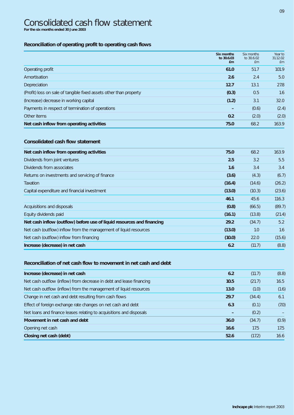# Consolidated cash flow statement **For the six months ended 30 June 2003**

### **Reconciliation of operating profit to operating cash flows**

|                                                                    | Six months<br>to 30.6.03<br>£m | Six months<br>to 30.6.02<br>£m | Year to<br>31.12.02<br>£m |
|--------------------------------------------------------------------|--------------------------------|--------------------------------|---------------------------|
| Operating profit                                                   | 61.0                           | 51.7                           | 101.9                     |
| Amortisation                                                       | 2.6                            | 2.4                            | 5.0                       |
| Depreciation                                                       | 12.7                           | 13.1                           | 27.8                      |
| (Profit) loss on sale of tangible fixed assets other than property | (0.3)                          | 0.5                            | 1.6                       |
| (Increase) decrease in working capital                             | (1.2)                          | 3.1                            | 32.0                      |
| Payments in respect of termination of operations                   |                                | (0.6)                          | (2.4)                     |
| Other items                                                        | 0.2                            | (2.0)                          | (2.0)                     |
| Net cash inflow from operating activities                          | 75.0                           | 68.2                           | 163.9                     |

### **Consolidated cash flow statement**

| Net cash inflow from operating activities                              | 75.0   | 68.2   | 163.9  |
|------------------------------------------------------------------------|--------|--------|--------|
| Dividends from joint ventures                                          | 2.5    | 3.2    | 5.5    |
| Dividends from associates                                              | 1.6    | 3.4    | 3.4    |
| Returns on investments and servicing of finance                        | (3.6)  | (4.3)  | (6.7)  |
| Taxation                                                               | (16.4) | (14.6) | (26.2) |
| Capital expenditure and financial investment                           | (13.0) | (10.3) | (23.6) |
|                                                                        | 46.1   | 45.6   | 116.3  |
| Acquisitions and disposals                                             | (0.8)  | (66.5) | (89.7) |
| Equity dividends paid                                                  | (16.1) | (13.8) | (21.4) |
| Net cash inflow (outflow) before use of liquid resources and financing | 29.2   | (34.7) | 5.2    |
| Net cash (outflow) inflow from the management of liquid resources      | (13.0) | 1.0    | 1.6    |
| Net cash (outflow) inflow from financing                               | (10.0) | 22.0   | (15.6) |
| Increase (decrease) in net cash                                        | 6.2    | (11.7) | (8.8)  |

### **Reconciliation of net cash flow to movement in net cash and debt**

| Increase (decrease) in net cash                                     | 6.2  | (11.7) | (8.8) |
|---------------------------------------------------------------------|------|--------|-------|
| Net cash outflow (inflow) from decrease in debt and lease financing | 10.5 | (21.7) | 16.5  |
| Net cash outflow (inflow) from the management of liquid resources   | 13.0 | (1.0)  | (1.6) |
| Change in net cash and debt resulting from cash flows               | 29.7 | (34.4) | 6.1   |
| Effect of foreign exchange rate changes on net cash and debt        | 6.3  | (0.1)  | (7.0) |
| Net loans and finance leases relating to acquisitions and disposals |      | (0.2)  |       |
| Movement in net cash and debt                                       | 36.0 | (34.7) | (0.9) |
| Opening net cash                                                    | 16.6 | 17.5   | 17.5  |
| Closing net cash (debt)                                             | 52.6 | (17.2) | 16.6  |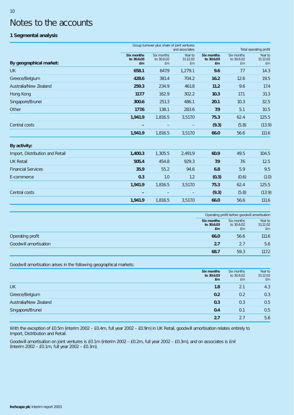# Notes to the accounts

## **1 Segmental analysis**

|                                 |                                       | Group turnover plus share of joint ventures | and associates            |                                              |                                | Total operating profit    |
|---------------------------------|---------------------------------------|---------------------------------------------|---------------------------|----------------------------------------------|--------------------------------|---------------------------|
| By geographical market:         | <b>Six months</b><br>to 30.6.03<br>£m | Six months<br>to 30.6.02<br><b>£m</b>       | Year to<br>31.12.02<br>£m | <b>Six months</b><br>to 30.6.03<br><b>£m</b> | Six months<br>to 30.6.02<br>£m | Year to<br>31.12.02<br>£m |
| <b>UK</b>                       | 658.1                                 | 647.9                                       | 1,279.1                   | 9.6                                          | 7.7                            | 14.3                      |
| Greece/Belgium                  | 428.6                                 | 381.4                                       | 704.2                     | 16.2                                         | 12.6                           | 19.5                      |
| Australia/New Zealand           | 259.3                                 | 234.9                                       | 461.8                     | 11.2                                         | 9.6                            | 17.4                      |
| Hong Kong                       | 117.7                                 | 162.9                                       | 302.2                     | 10.3                                         | 17.1                           | 31.3                      |
| Singapore/Brunei                | 300.6                                 | 251.3                                       | 486.1                     | 20.1                                         | 10.3                           | 32.5                      |
| Other                           | 177.6                                 | 138.1                                       | 283.6                     | 7.9                                          | 5.1                            | 10.5                      |
|                                 | 1,941.9                               | 1,816.5                                     | 3,517.0                   | 75.3                                         | 62.4                           | 125.5                     |
| Central costs                   |                                       |                                             |                           | (9.3)                                        | (5.8)                          | (13.9)                    |
|                                 | 1,941.9                               | 1,816.5                                     | 3,517.0                   | 66.0                                         | 56.6                           | 111.6                     |
| By activity:                    |                                       |                                             |                           |                                              |                                |                           |
| Import, Distribution and Retail | 1,400.3                               | 1,305.5                                     | 2,491.9                   | 60.9                                         | 49.5                           | 104.5                     |
| <b>UK Retail</b>                | 505.4                                 | 454.8                                       | 929.3                     | 7.9                                          | 7.6                            | 12.5                      |
| <b>Financial Services</b>       | 35.9                                  | 55.2                                        | 94.6                      | 6.8                                          | 5.9                            | 9.5                       |
| E-commerce                      | 0.3                                   | 1.0                                         | 1.2                       | (0.3)                                        | (0.6)                          | (1.0)                     |
|                                 | 1,941.9                               | 1,816.5                                     | 3,517.0                   | 75.3                                         | 62.4                           | 125.5                     |
| Central costs                   |                                       |                                             |                           | (9.3)                                        | (5.8)                          | (13.9)                    |
|                                 | 1,941.9                               | 1,816.5                                     | 3,517.0                   | 66.0                                         | 56.6                           | 111.6                     |

|                       |                          | Operating profit before goodwill amortisation |                                |                           |  |
|-----------------------|--------------------------|-----------------------------------------------|--------------------------------|---------------------------|--|
|                       | Six months<br>to 30.6.03 | £m                                            | Six months<br>to 30.6.02<br>£m | Year to<br>31.12.02<br>£m |  |
| Operating profit      |                          | 66.0                                          | 56.6                           | 111.6                     |  |
| Goodwill amortisation |                          | 2.7                                           | 2.7                            | 5.6                       |  |
|                       |                          | 68.7                                          | 59.3                           | 117.2                     |  |

Goodwill amortisation arises in the following geographical markets:

|                       | Six months<br>to 30.6.03<br>£m | Six months<br>to 30.6.02<br>£m | Year to<br>31.12.02<br>Em |
|-----------------------|--------------------------------|--------------------------------|---------------------------|
| <b>UK</b>             | 1.8                            | 2.1                            | 4.3                       |
| Greece/Belgium        | 0.2                            | 0.2                            | 0.3                       |
| Australia/New Zealand | 0.3                            | 0.3                            | 0.5                       |
| Singapore/Brunei      | 0.4                            | 0.1                            | 0.5                       |
|                       | 2.7                            | 2.7                            | 5.6                       |

With the exception of £0.5m (interim 2002 – £0.4m, full year 2002 – £0.9m) in UK Retail, goodwill amortisation relates entirely to Import, Distribution and Retail.

Goodwill amortisation on joint ventures is £0.1m (interim 2002 – £0.2m, full year 2002 – £0.3m), and on associates is £nil (interim 2002 – £0.1m, full year 2002 – £0.3m).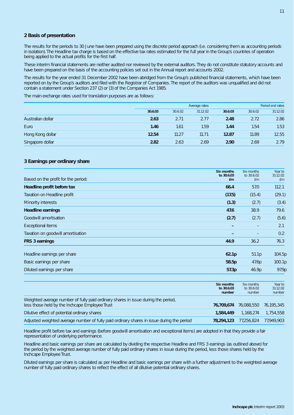#### **2 Basis of presentation**

The results for the periods to 30 June have been prepared using the discrete period approach (i.e. considering them as accounting periods in isolation). The Headline tax charge is based on the effective tax rates estimated for the full year in the Group's countries of operation being applied to the actual profits for the first half.

These interim financial statements are neither audited nor reviewed by the external auditors. They do not constitute statutory accounts and have been prepared on the basis of the accounting policies set out in the Annual report and accounts 2002.

The results for the year ended 31 December 2002 have been abridged from the Group's published financial statements, which have been reported on by the Group's auditors and filed with the Registrar of Companies. The report of the auditors was unqualified and did not contain a statement under Section 237 (2) or (3) of the Companies Act 1985.

The main exchange rates used for translation purposes are as follows:

|                   |         | Average rates |          |         | Period end rates |          |
|-------------------|---------|---------------|----------|---------|------------------|----------|
|                   | 30.6.03 | 30.6.02       | 31.12.02 | 30.6.03 | 30.6.02          | 31.12.02 |
| Australian dollar | 2.63    | 2.71          | 2.77     | 2.48    | 2.72             | 2.86     |
| Euro              | 1.46    | 1.61          | 1.59     | 1.44    | 1.54             | 1.53     |
| Hong Kong dollar  | 12.54   | 11.27         | 11.71    | 12.87   | 11.89            | 12.55    |
| Singapore dollar  | 2.82    | 2.63          | 2.69     | 2.90    | 2.69             | 2.79     |

#### **3 Earnings per ordinary share**

| Based on the profit for the period: | Six months<br>to 30.6.03<br>£ <sub>m</sub> | Six months<br>to 30.6.02<br>£m | Year to<br>31.12.02<br>£m |
|-------------------------------------|--------------------------------------------|--------------------------------|---------------------------|
| Headline profit before tax          | 66.4                                       | 57.0                           | 112.1                     |
| Taxation on Headline profit         | (17.5)                                     | (15.4)                         | (29.1)                    |
| Minority interests                  | (1.3)                                      | (2.7)                          | (3.4)                     |
| <b>Headline earnings</b>            | 47.6                                       | 38.9                           | 79.6                      |
| Goodwill amortisation               | (2.7)                                      | (2.7)                          | (5.6)                     |
| <b>Exceptional items</b>            |                                            |                                | 2.1                       |
| Taxation on goodwill amortisation   |                                            |                                | 0.2                       |
| FRS 3 earnings                      | 44.9                                       | 36.2                           | 76.3                      |
| Headline earnings per share         | 62.1p                                      | 51.1p                          | 104.5p                    |
| Basic earnings per share            | 58.5p                                      | 47.6p                          | 100.1p                    |
| Diluted earnings per share          | 57.3p                                      | 46.9p                          | 97.9p                     |

|                                                                                                                                     | Six months<br>to 30.6.03<br>number | Six months<br>to 30.6.02<br>number | Year to<br>31.12.02<br>number |
|-------------------------------------------------------------------------------------------------------------------------------------|------------------------------------|------------------------------------|-------------------------------|
| Weighted average number of fully paid ordinary shares in issue during the period,<br>less those held by the Inchcape Employee Trust | 76.709.674                         | 76,088,550                         | 76,195,345                    |
| Dilutive effect of potential ordinary shares                                                                                        | 1,584,449                          | 1.168.274                          | 1,754,558                     |
| Adjusted weighted average number of fully paid ordinary shares in issue during the period                                           | 78.294.123                         | 77,256,824                         | 77,949,903                    |

Headline profit before tax and earnings (before goodwill amortisation and exceptional items) are adopted in that they provide a fair representation of underlying performance.

Headline and basic earnings per share are calculated by dividing the respective Headline and FRS 3 earnings (as outlined above) for the period by the weighted average number of fully paid ordinary shares in issue during the period, less those shares held by the Inchcape Employee Trust.

Diluted earnings per share is calculated as per Headline and basic earnings per share with a further adjustment to the weighted average number of fully paid ordinary shares to reflect the effect of all dilutive potential ordinary shares.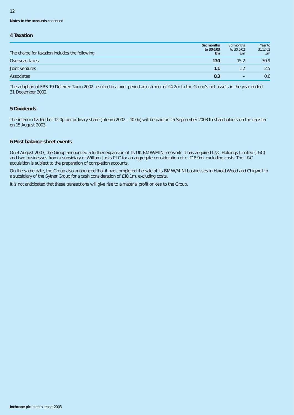**Notes to the accounts** continued

#### **4 Taxation**

| The charge for taxation includes the following: | Six months<br>to 30.6.03<br>£m | Six months<br>to 30.6.02<br>£m | Year to<br>31.12.02<br>£m |
|-------------------------------------------------|--------------------------------|--------------------------------|---------------------------|
| Overseas taxes                                  | 17.0                           | 15.2                           | 30.9                      |
| Joint ventures                                  | 1.1                            |                                | 2.5                       |
| Associates                                      | 0.3                            | $\qquad \qquad -$              | 0.6                       |

The adoption of FRS 19 Deferred Tax in 2002 resulted in a prior period adjustment of £4.2m to the Group's net assets in the year ended 31 December 2002.

#### **5 Dividends**

The interim dividend of 12.0p per ordinary share (interim 2002 – 10.0p) will be paid on 15 September 2003 to shareholders on the register on 15 August 2003.

### **6 Post balance sheet events**

On 4 August 2003, the Group announced a further expansion of its UK BMW/MINI network. It has acquired L&C Holdings Limited (L&C) and two businesses from a subsidiary of William Jacks PLC for an aggregate consideration of c. £18.9m, excluding costs. The L&C acquisition is subject to the preparation of completion accounts.

On the same date, the Group also announced that it had completed the sale of its BMW/MINI businesses in Harold Wood and Chigwell to a subsidiary of the Sytner Group for a cash consideration of £10.1m, excluding costs.

It is not anticipated that these transactions will give rise to a material profit or loss to the Group.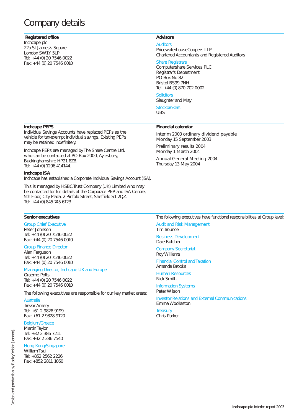# Company details

#### **Registered office**

Inchcape plc 22a St James's Square London SW1Y 5LP Tel: +44 (0) 20 7546 0022 Fax: +44 (0) 20 7546 0010

#### **Advisors**

Auditors PricewaterhouseCoopers LLP Chartered Accountants and Registered Auditors

Interim 2003 ordinary dividend payable

#### Share Registrars

Computershare Services PLC Registrar's Department PO Box No 82 Bristol BS99 7NH Tel: +44 (0) 870 702 0002

#### **Solicitors**

Slaughter and May **Stockbrokers** 

**Financial calendar**

Monday 15 September 2003 Preliminary results 2004 Monday 1 March 2004

Annual General Meeting 2004

Thursday 13 May 2004

UBS

#### **Inchcape PEPS**

Individual Savings Accounts have replaced PEPs as the vehicle for tax-exempt individual savings. Existing PEPs may be retained indefinitely.

Inchcape PEPs are managed by The Share Centre Ltd, who can be contacted at PO Box 2000, Aylesbury, Buckinghamshire HP21 8ZB. Tel: +44 (0) 1296 414144.

#### **Inchcape ISA**

Inchcape has established a Corporate Individual Savings Account (ISA).

This is managed by HSBC Trust Company (UK) Limited who may be contacted for full details at the Corporate PEP and ISA Centre, 5th Floor, City Plaza, 2 Pinfold Street, Sheffield S1 2QZ. Tel: +44 (0) 845 745 6123.

#### **Senior executives**

Group Chief Executive Peter Johnson Tel: +44 (0) 20 7546 0022 Fax: +44 (0) 20 7546 0010

### Group Finance Director

Alan Ferguson Tel: +44 (0) 20 7546 0022 Fax: +44 (0) 20 7546 0010

#### Managing Director, Inchcape UK and Europe Graeme Potts

Tel: +44 (0) 20 7546 0022 Fax: +44 (0) 20 7546 0010

The following executives are responsible for our key market areas:

#### **Australia**

Trevor Amery Tel: +61 2 9828 9199 Fax: +61 2 9828 9120

#### Belgium/Greece

Martin Taylor Tel: +32 2 386 7211 Fax: +32 2 386 7540

#### Hong Kong/Singapore

William Tsui Tel: +852 2562 2226 Fax: +852 2811 1060 The following executives have functional responsibilities at Group level:

Audit and Risk Management Tim Trounce

Business Development Dale Butcher

Company Secretariat Roy Williams

Financial Control and Taxation Amanda Brooks

Human Resources Nick Smith

#### Information Systems Peter Wilson

Investor Relations and External Communications Emma Woollaston

**Treasury** Chris Parker